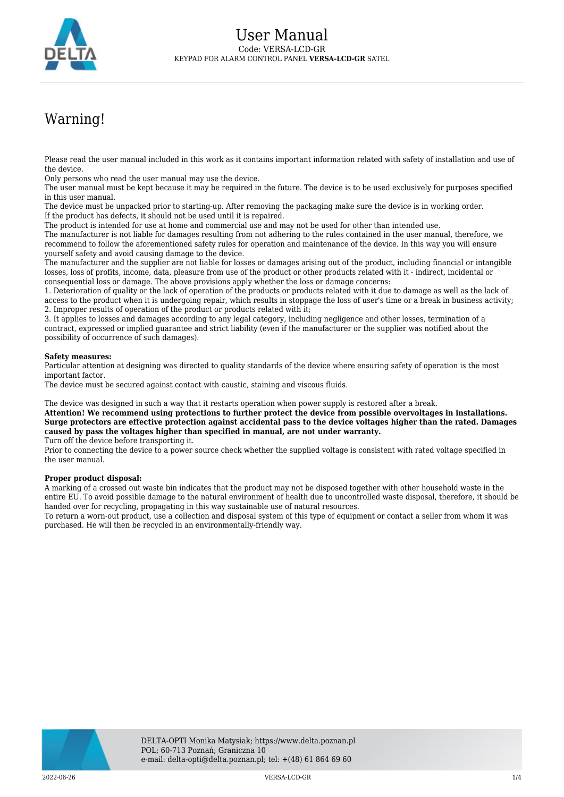

## Warning!

Please read the user manual included in this work as it contains important information related with safety of installation and use of the device.

Only persons who read the user manual may use the device.

The user manual must be kept because it may be required in the future. The device is to be used exclusively for purposes specified in this user manual.

The device must be unpacked prior to starting-up. After removing the packaging make sure the device is in working order. If the product has defects, it should not be used until it is repaired.

The product is intended for use at home and commercial use and may not be used for other than intended use.

The manufacturer is not liable for damages resulting from not adhering to the rules contained in the user manual, therefore, we recommend to follow the aforementioned safety rules for operation and maintenance of the device. In this way you will ensure yourself safety and avoid causing damage to the device.

The manufacturer and the supplier are not liable for losses or damages arising out of the product, including financial or intangible losses, loss of profits, income, data, pleasure from use of the product or other products related with it - indirect, incidental or consequential loss or damage. The above provisions apply whether the loss or damage concerns:

1. Deterioration of quality or the lack of operation of the products or products related with it due to damage as well as the lack of access to the product when it is undergoing repair, which results in stoppage the loss of user's time or a break in business activity; 2. Improper results of operation of the product or products related with it;

3. It applies to losses and damages according to any legal category, including negligence and other losses, termination of a contract, expressed or implied guarantee and strict liability (even if the manufacturer or the supplier was notified about the possibility of occurrence of such damages).

## **Safety measures:**

Particular attention at designing was directed to quality standards of the device where ensuring safety of operation is the most important factor.

The device must be secured against contact with caustic, staining and viscous fluids.

The device was designed in such a way that it restarts operation when power supply is restored after a break.

**Attention! We recommend using protections to further protect the device from possible overvoltages in installations. Surge protectors are effective protection against accidental pass to the device voltages higher than the rated. Damages caused by pass the voltages higher than specified in manual, are not under warranty.** Turn off the device before transporting it.

Prior to connecting the device to a power source check whether the supplied voltage is consistent with rated voltage specified in the user manual.

## **Proper product disposal:**

A marking of a crossed out waste bin indicates that the product may not be disposed together with other household waste in the entire EU. To avoid possible damage to the natural environment of health due to uncontrolled waste disposal, therefore, it should be handed over for recycling, propagating in this way sustainable use of natural resources.

To return a worn-out product, use a collection and disposal system of this type of equipment or contact a seller from whom it was purchased. He will then be recycled in an environmentally-friendly way.

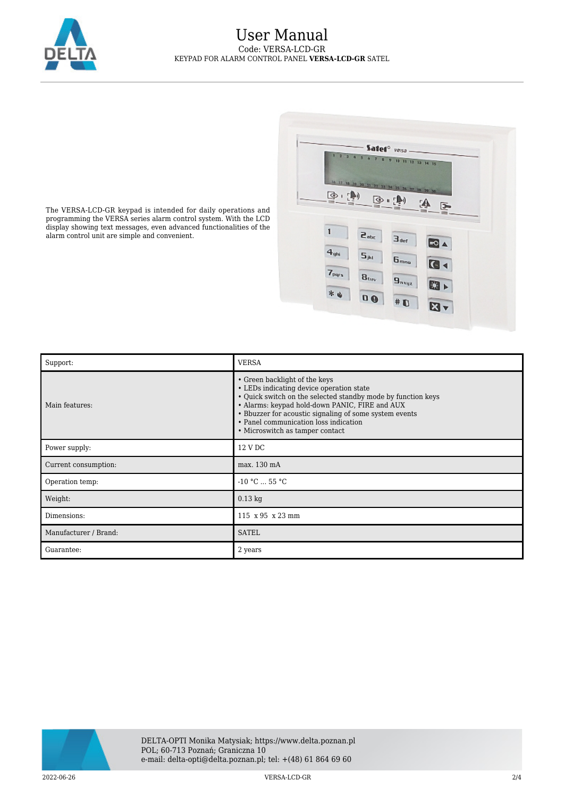

## User Manual Code: VERSA-LCD-GR KEYPAD FOR ALARM CONTROL PANEL **VERSA-LCD-GR** SATEL



The VERSA-LCD-GR keypad is intended for daily operations and programming the VERSA series alarm control system. With the LCD display showing text messages, even advanced functionalities of the alarm control unit are simple and convenient.

| Support:              | <b>VERSA</b>                                                                                                                                                                                                                                                                                                                      |
|-----------------------|-----------------------------------------------------------------------------------------------------------------------------------------------------------------------------------------------------------------------------------------------------------------------------------------------------------------------------------|
| Main features:        | • Green backlight of the keys<br>• LEDs indicating device operation state<br>• Quick switch on the selected standby mode by function keys<br>• Alarms: keypad hold-down PANIC, FIRE and AUX<br>• Bbuzzer for acoustic signaling of some system events<br>• Panel communication loss indication<br>• Microswitch as tamper contact |
| Power supply:         | 12 V DC                                                                                                                                                                                                                                                                                                                           |
| Current consumption:  | max. 130 mA                                                                                                                                                                                                                                                                                                                       |
| Operation temp:       | $-10 °C  55 °C$                                                                                                                                                                                                                                                                                                                   |
| Weight:               | $0.13$ kg                                                                                                                                                                                                                                                                                                                         |
| Dimensions:           | 115 x 95 x 23 mm                                                                                                                                                                                                                                                                                                                  |
| Manufacturer / Brand: | <b>SATEL</b>                                                                                                                                                                                                                                                                                                                      |
| Guarantee:            | 2 years                                                                                                                                                                                                                                                                                                                           |



2022-06-26 VERSA-LCD-GR 2/4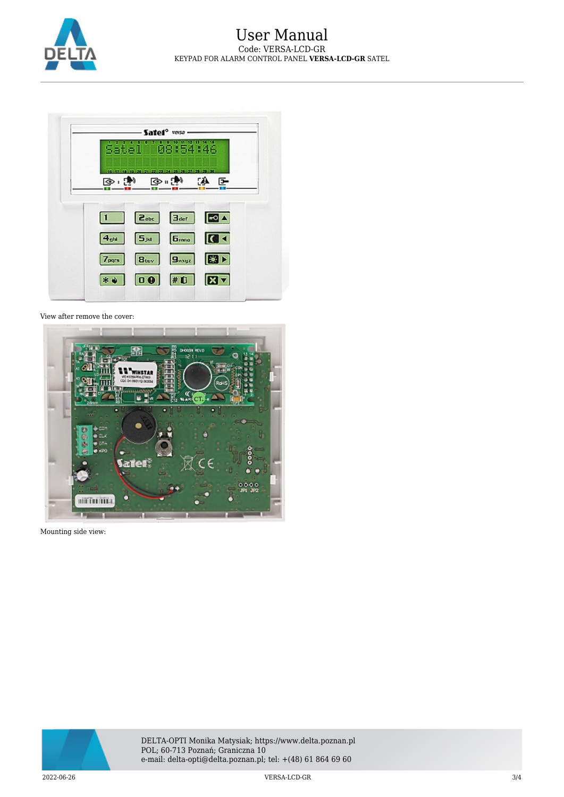



View after remove the cover:



Mounting side view:



DELTA-OPTI Monika Matysiak; https://www.delta.poznan.pl POL; 60-713 Poznań; Graniczna 10 e-mail: delta-opti@delta.poznan.pl; tel: +(48) 61 864 69 60

2022-06-26 VERSA-LCD-GR 3/4